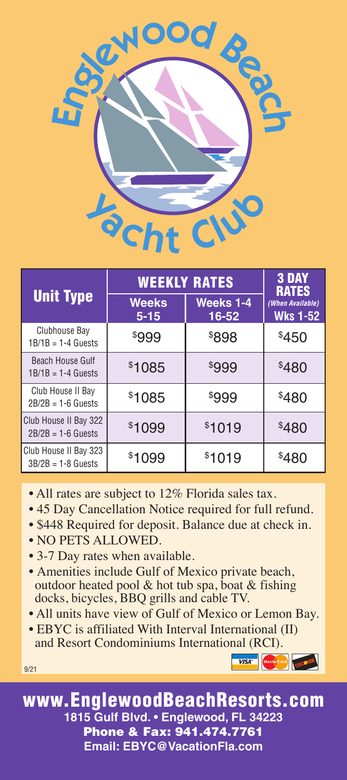

| <b>Unit Type</b>                                | <b>WEEKLY RATES</b>      | <b>3 DAY</b><br><b>RATES</b> |                                     |
|-------------------------------------------------|--------------------------|------------------------------|-------------------------------------|
|                                                 | <b>Weeks</b><br>$5 - 15$ | <b>Weeks 1-4</b><br>16-52    | (When Available)<br><b>Wks 1-52</b> |
| Clubhouse Bay<br>$1B/1B = 1-4$ Guests           | \$999                    | \$898                        | \$450                               |
| <b>Beach House Gulf</b><br>$1B/1B = 1-4$ Guests | \$1085                   | \$999                        | \$480                               |
| Club House II Bay<br>$2B/2B = 1-6$ Guests       | \$1085                   | \$999                        | \$480                               |
| Club House II Bay 322<br>$2B/2B = 1-6$ Guests   | \$1099                   | \$1019                       | \$480                               |
| Club House II Bay 323<br>$3B/2B = 1-8$ Guests   | \$1099                   | \$1019                       | \$480                               |

- All rates are subject to 12% Florida sales tax.
- 45 Day Cancellation Notice required for full refund.
- \$448 Required for deposit. Balance due at check in.
- NO PETS ALLOWED.

9/21

- 3-7 Day rates when available.
- Amenities include Gulf of Mexico private beach, outdoor heated pool  $&$  hot tub spa, boat  $&$  fishing docks, bicycles, BBQ grills and cable TV.
- All units have view of Gulf of Mexico or Lemon Bay.
- EBYC is affiliated With Interval International (II) and Resort Condominiums International (RCI).

VISA Mastercard DUCCVER

www.EnglewoodBeachResorts.com **1815 Gulf Blvd. • Englewood, FL 34223** Phone & Fax: 941.474.7761 **Email: EBYC@VacationFla.com**